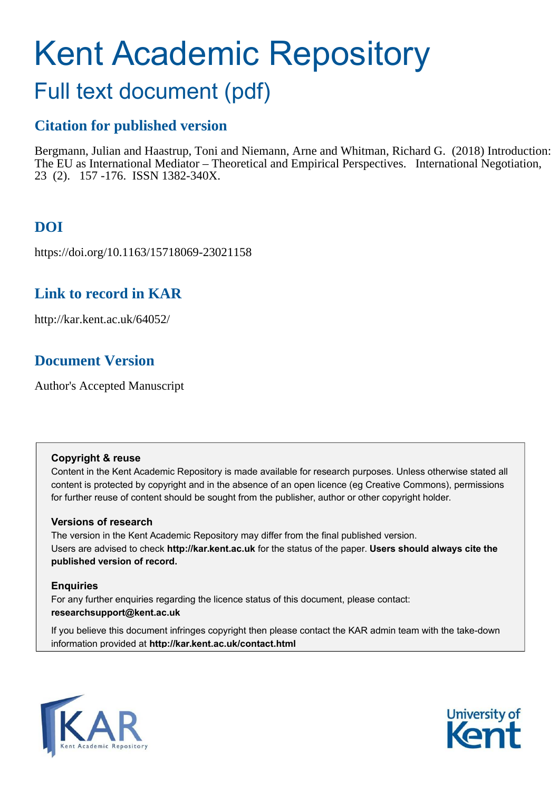# Kent Academic Repository

## Full text document (pdf)

## **Citation for published version**

Bergmann, Julian and Haastrup, Toni and Niemann, Arne and Whitman, Richard G. (2018) Introduction: The EU as International Mediator – Theoretical and Empirical Perspectives. International Negotiation, 23 (2). 157 -176. ISSN 1382-340X.

## **DOI**

https://doi.org/10.1163/15718069-23021158

## **Link to record in KAR**

http://kar.kent.ac.uk/64052/

## **Document Version**

Author's Accepted Manuscript

#### **Copyright & reuse**

Content in the Kent Academic Repository is made available for research purposes. Unless otherwise stated all content is protected by copyright and in the absence of an open licence (eg Creative Commons), permissions for further reuse of content should be sought from the publisher, author or other copyright holder.

#### **Versions of research**

The version in the Kent Academic Repository may differ from the final published version. Users are advised to check **http://kar.kent.ac.uk** for the status of the paper. **Users should always cite the published version of record.**

#### **Enquiries**

For any further enquiries regarding the licence status of this document, please contact: **researchsupport@kent.ac.uk**

If you believe this document infringes copyright then please contact the KAR admin team with the take-down information provided at **http://kar.kent.ac.uk/contact.html**



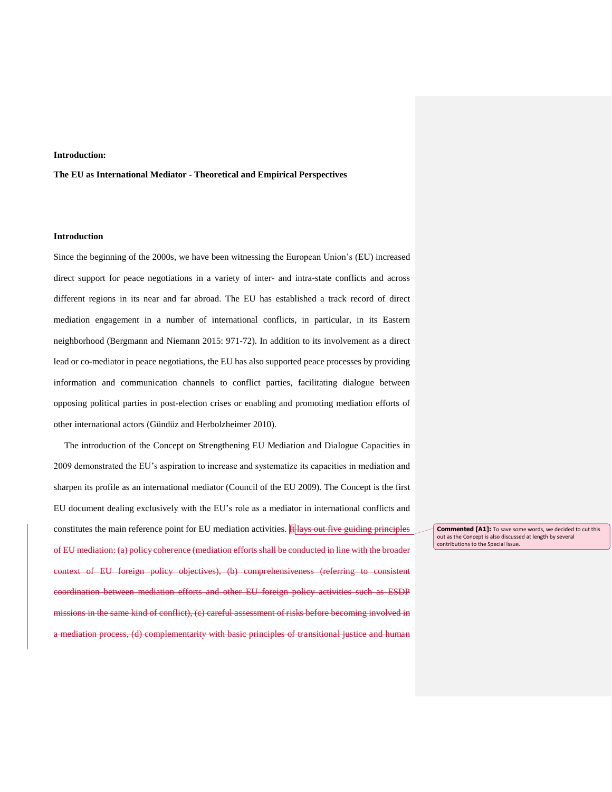#### **Introduction:**

#### **The EU as International Mediator - Theoretical and Empirical Perspectives**

#### **Introduction**

Since the beginning of the 2000s, we have been witnessing the European Union's (EU) increased direct support for peace negotiations in a variety of inter- and intra-state conflicts and across different regions in its near and far abroad. The EU has established a track record of direct mediation engagement in a number of international conflicts, in particular, in its Eastern neighborhood (Bergmann and Niemann 2015: 971-72). In addition to its involvement as a direct lead or co-mediator in peace negotiations, the EU has also supported peace processes by providing information and communication channels to conflict parties, facilitating dialogue between opposing political parties in post-election crises or enabling and promoting mediation efforts of other international actors (Gündüz and Herbolzheimer 2010).

The introduction of the Concept on Strengthening EU Mediation and Dialogue Capacities in 2009 demonstrated the EU's aspiration to increase and systematize its capacities in mediation and sharpen its profile as an international mediator (Council of the EU 2009). The Concept is the first EU document dealing exclusively with the EU's role as a mediator in international conflicts and constitutes the main reference point for EU mediation activities.  $\frac{1}{10}$  lays out five guiding principles of EU mediation: (a) policy coherence (mediation efforts shall be conducted in line with the broader context of EU foreign policy objectives), (b) comprehensiveness (referring to consistent coordination between mediation efforts and other EU foreign policy activities such as ESDP  $\frac{1}{100}$  in the same kind of conflict), (c) careful assessment of risks before becoming involved in ediation process, (d) complementarity with basic principles of transitional justice and human

**Commented [A1]:** To save some words, we decided to cut this out as the Concept is also discussed at length by several contributions to the Special Issue.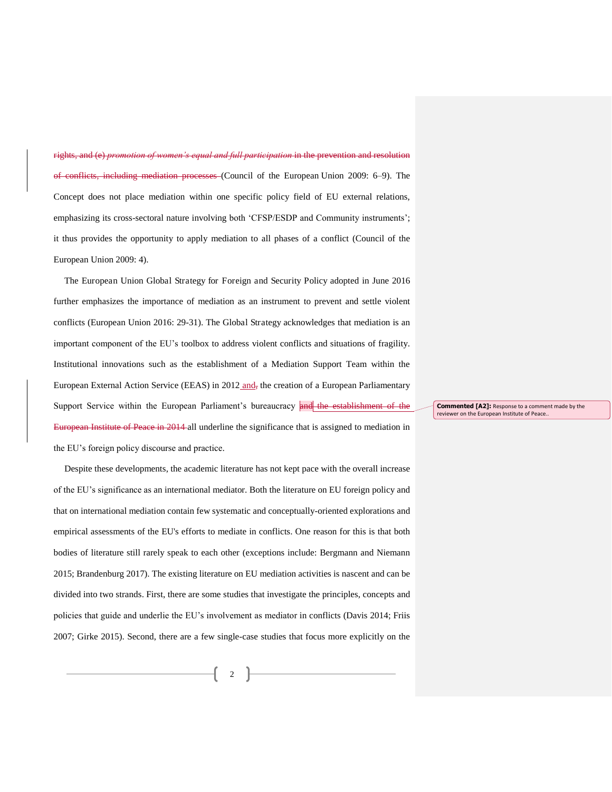wom*en's equal and full participation* in the prevention and resolution of conflicts, including mediation processes (Council of the European Union 2009: 6–9). The Concept does not place mediation within one specific policy field of EU external relations, emphasizing its cross-sectoral nature involving both 'CFSP/ESDP and Community instruments'; it thus provides the opportunity to apply mediation to all phases of a conflict (Council of the European Union 2009: 4).

The European Union Global Strategy for Foreign and Security Policy adopted in June 2016 further emphasizes the importance of mediation as an instrument to prevent and settle violent conflicts (European Union 2016: 29-31). The Global Strategy acknowledges that mediation is an important component of the EU's toolbox to address violent conflicts and situations of fragility. Institutional innovations such as the establishment of a Mediation Support Team within the European External Action Service (EEAS) in 2012 and, the creation of a European Parliamentary Support Service within the European Parliament's bureaucracy and the establishment of the European Institute of Peace in 2014 all underline the significance that is assigned to mediation in the EU's foreign policy discourse and practice.

Despite these developments, the academic literature has not kept pace with the overall increase of the EU's significance as an international mediator. Both the literature on EU foreign policy and that on international mediation contain few systematic and conceptually-oriented explorations and empirical assessments of the EU's efforts to mediate in conflicts. One reason for this is that both bodies of literature still rarely speak to each other (exceptions include: Bergmann and Niemann 2015; Brandenburg 2017). The existing literature on EU mediation activities is nascent and can be divided into two strands. First, there are some studies that investigate the principles, concepts and policies that guide and underlie the EU's involvement as mediator in conflicts (Davis 2014; Friis 2007; Girke 2015). Second, there are a few single-case studies that focus more explicitly on the **Commented [A2]:** Response to a comment made by the reviewer on the European Institute of Peace..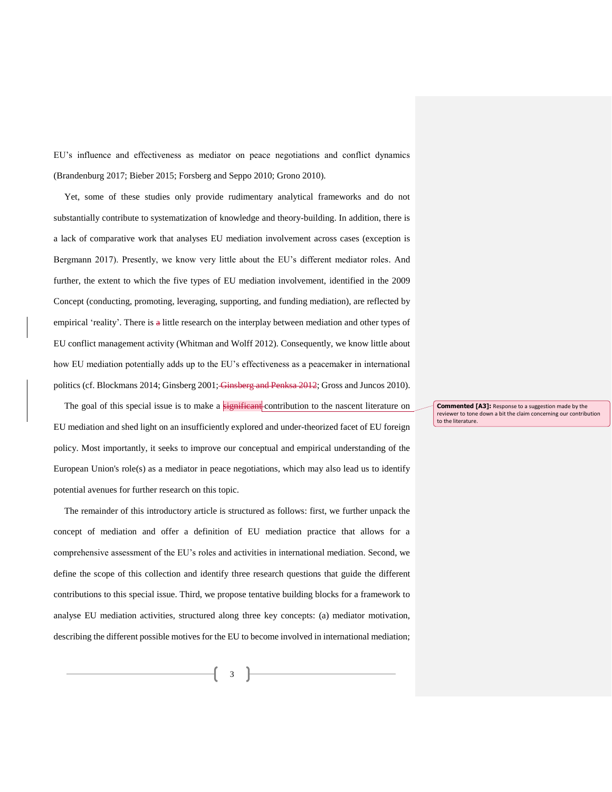EU's influence and effectiveness as mediator on peace negotiations and conflict dynamics (Brandenburg 2017; Bieber 2015; Forsberg and Seppo 2010; Grono 2010).

Yet, some of these studies only provide rudimentary analytical frameworks and do not substantially contribute to systematization of knowledge and theory-building. In addition, there is a lack of comparative work that analyses EU mediation involvement across cases (exception is Bergmann 2017). Presently, we know very little about the EU's different mediator roles. And further, the extent to which the five types of EU mediation involvement, identified in the 2009 Concept (conducting, promoting, leveraging, supporting, and funding mediation), are reflected by empirical 'reality'. There is a little research on the interplay between mediation and other types of EU conflict management activity (Whitman and Wolff 2012). Consequently, we know little about how EU mediation potentially adds up to the EU's effectiveness as a peacemaker in international politics (cf. Blockmans 2014; Ginsberg 2001; Ginsberg and Penksa 2012; Gross and Juncos 2010).

The goal of this special issue is to make a  $s$ ignificant contribution to the nascent literature on EU mediation and shed light on an insufficiently explored and under-theorized facet of EU foreign policy. Most importantly, it seeks to improve our conceptual and empirical understanding of the European Union's role(s) as a mediator in peace negotiations, which may also lead us to identify potential avenues for further research on this topic.

The remainder of this introductory article is structured as follows: first, we further unpack the concept of mediation and offer a definition of EU mediation practice that allows for a comprehensive assessment of the EU's roles and activities in international mediation. Second, we define the scope of this collection and identify three research questions that guide the different contributions to this special issue. Third, we propose tentative building blocks for a framework to analyse EU mediation activities, structured along three key concepts: (a) mediator motivation, describing the different possible motives for the EU to become involved in international mediation;

**Commented [A3]:** Response to a suggestion made by the reviewer to tone down a bit the claim concerning our contribution to the literature.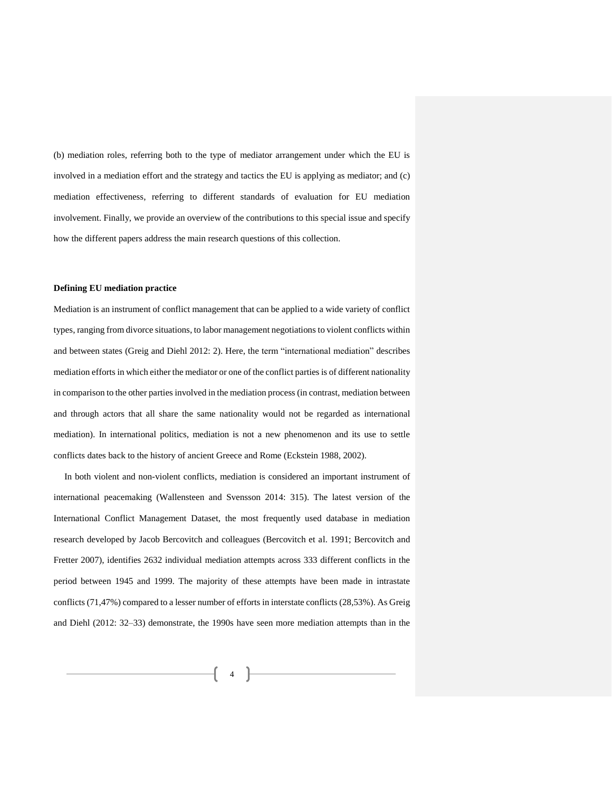(b) mediation roles, referring both to the type of mediator arrangement under which the EU is involved in a mediation effort and the strategy and tactics the EU is applying as mediator; and (c) mediation effectiveness, referring to different standards of evaluation for EU mediation involvement. Finally, we provide an overview of the contributions to this special issue and specify how the different papers address the main research questions of this collection.

#### **Defining EU mediation practice**

Mediation is an instrument of conflict management that can be applied to a wide variety of conflict types, ranging from divorce situations, to labor management negotiations to violent conflicts within and between states (Greig and Diehl 2012: 2). Here, the term "international mediation" describes mediation efforts in which either the mediator or one of the conflict parties is of different nationality in comparison to the other parties involved in the mediation process (in contrast, mediation between and through actors that all share the same nationality would not be regarded as international mediation). In international politics, mediation is not a new phenomenon and its use to settle conflicts dates back to the history of ancient Greece and Rome (Eckstein 1988, 2002).

In both violent and non-violent conflicts, mediation is considered an important instrument of international peacemaking (Wallensteen and Svensson 2014: 315). The latest version of the International Conflict Management Dataset, the most frequently used database in mediation research developed by Jacob Bercovitch and colleagues (Bercovitch et al. 1991; Bercovitch and Fretter 2007), identifies 2632 individual mediation attempts across 333 different conflicts in the period between 1945 and 1999. The majority of these attempts have been made in intrastate conflicts (71,47%) compared to a lesser number of efforts in interstate conflicts (28,53%). As Greig and Diehl (2012: 32–33) demonstrate, the 1990s have seen more mediation attempts than in the

> $\mathcal{L}$ 4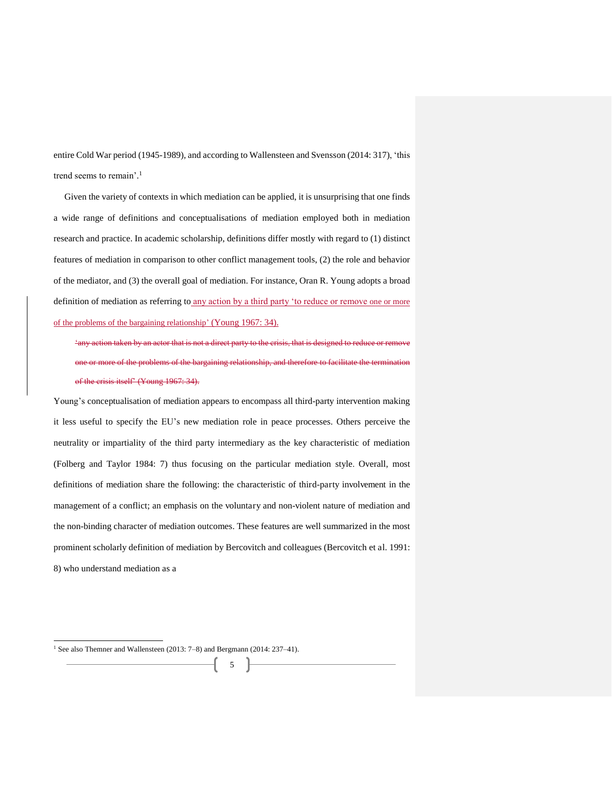entire Cold War period (1945-1989), and according to Wallensteen and Svensson (2014: 317), 'this trend seems to remain'. 1

Given the variety of contexts in which mediation can be applied, it is unsurprising that one finds a wide range of definitions and conceptualisations of mediation employed both in mediation research and practice. In academic scholarship, definitions differ mostly with regard to (1) distinct features of mediation in comparison to other conflict management tools, (2) the role and behavior of the mediator, and (3) the overall goal of mediation. For instance, Oran R. Young adopts a broad definition of mediation as referring to any action by a third party 'to reduce or remove one or more of the problems of the bargaining relationship' (Young 1967: 34).

'any action taken by an actor that is not a direct party to the crisis, that is designed to reduce or remove or more of the problems of the bargaining relationship, and therefore to facilitate the termination of the crisis itself' (Young 1967: 34).

Young's conceptualisation of mediation appears to encompass all third-party intervention making it less useful to specify the EU's new mediation role in peace processes. Others perceive the neutrality or impartiality of the third party intermediary as the key characteristic of mediation (Folberg and Taylor 1984: 7) thus focusing on the particular mediation style. Overall, most definitions of mediation share the following: the characteristic of third-party involvement in the management of a conflict; an emphasis on the voluntary and non-violent nature of mediation and the non-binding character of mediation outcomes. These features are well summarized in the most prominent scholarly definition of mediation by Bercovitch and colleagues (Bercovitch et al. 1991: 8) who understand mediation as a

5

l

<sup>&</sup>lt;sup>1</sup> See also Themner and Wallensteen (2013: 7-8) and Bergmann (2014: 237-41).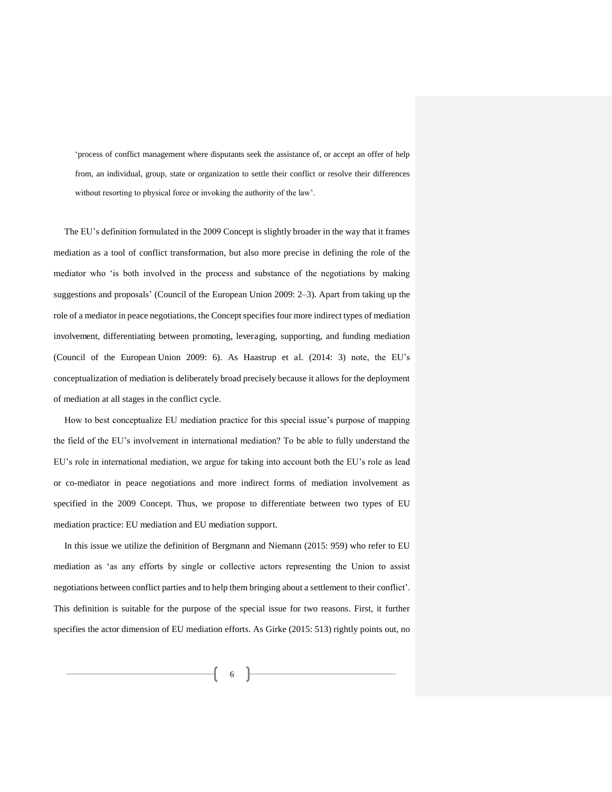'process of conflict management where disputants seek the assistance of, or accept an offer of help from, an individual, group, state or organization to settle their conflict or resolve their differences without resorting to physical force or invoking the authority of the law'.

The EU's definition formulated in the 2009 Concept is slightly broader in the way that it frames mediation as a tool of conflict transformation, but also more precise in defining the role of the mediator who 'is both involved in the process and substance of the negotiations by making suggestions and proposals' (Council of the European Union 2009: 2–3). Apart from taking up the role of a mediator in peace negotiations, the Concept specifies four more indirect types of mediation involvement, differentiating between promoting, leveraging, supporting, and funding mediation (Council of the European Union 2009: 6). As Haastrup et al. (2014: 3) note, the EU's conceptualization of mediation is deliberately broad precisely because it allows for the deployment of mediation at all stages in the conflict cycle.

How to best conceptualize EU mediation practice for this special issue's purpose of mapping the field of the EU's involvement in international mediation? To be able to fully understand the EU's role in international mediation, we argue for taking into account both the EU's role as lead or co-mediator in peace negotiations and more indirect forms of mediation involvement as specified in the 2009 Concept. Thus, we propose to differentiate between two types of EU mediation practice: EU mediation and EU mediation support.

In this issue we utilize the definition of Bergmann and Niemann (2015: 959) who refer to EU mediation as 'as any efforts by single or collective actors representing the Union to assist negotiations between conflict parties and to help them bringing about a settlement to their conflict'. This definition is suitable for the purpose of the special issue for two reasons. First, it further specifies the actor dimension of EU mediation efforts. As Girke (2015: 513) rightly points out, no

> $\left($ 6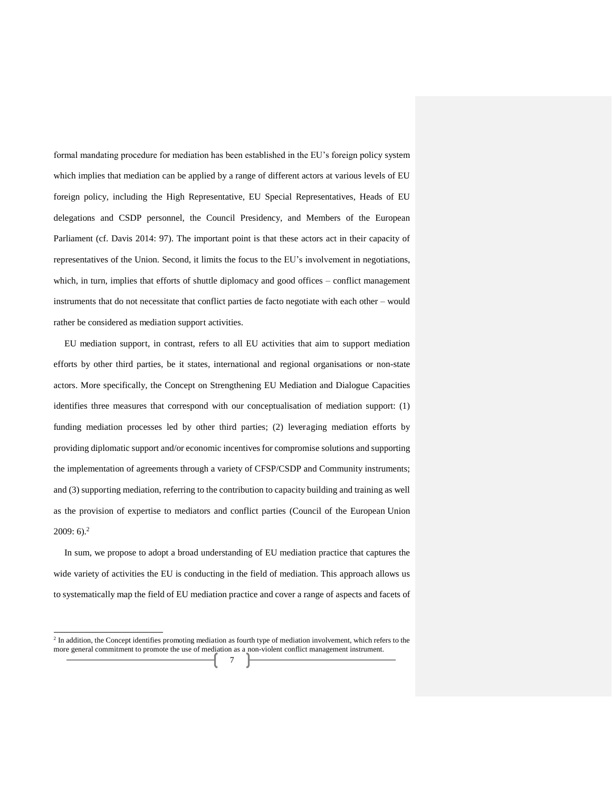formal mandating procedure for mediation has been established in the EU's foreign policy system which implies that mediation can be applied by a range of different actors at various levels of EU foreign policy, including the High Representative, EU Special Representatives, Heads of EU delegations and CSDP personnel, the Council Presidency, and Members of the European Parliament (cf. Davis 2014: 97). The important point is that these actors act in their capacity of representatives of the Union. Second, it limits the focus to the EU's involvement in negotiations, which, in turn, implies that efforts of shuttle diplomacy and good offices – conflict management instruments that do not necessitate that conflict parties de facto negotiate with each other – would rather be considered as mediation support activities.

EU mediation support, in contrast, refers to all EU activities that aim to support mediation efforts by other third parties, be it states, international and regional organisations or non-state actors. More specifically, the Concept on Strengthening EU Mediation and Dialogue Capacities identifies three measures that correspond with our conceptualisation of mediation support: (1) funding mediation processes led by other third parties; (2) leveraging mediation efforts by providing diplomatic support and/or economic incentives for compromise solutions and supporting the implementation of agreements through a variety of CFSP/CSDP and Community instruments; and (3) supporting mediation, referring to the contribution to capacity building and training as well as the provision of expertise to mediators and conflict parties (Council of the European Union  $2009:6$ <sup>2</sup>

In sum, we propose to adopt a broad understanding of EU mediation practice that captures the wide variety of activities the EU is conducting in the field of mediation. This approach allows us to systematically map the field of EU mediation practice and cover a range of aspects and facets of

j

<sup>&</sup>lt;sup>2</sup> In addition, the Concept identifies promoting mediation as fourth type of mediation involvement, which refers to the more general commitment to promote the use of mediation as a non-violent conflict management instrument.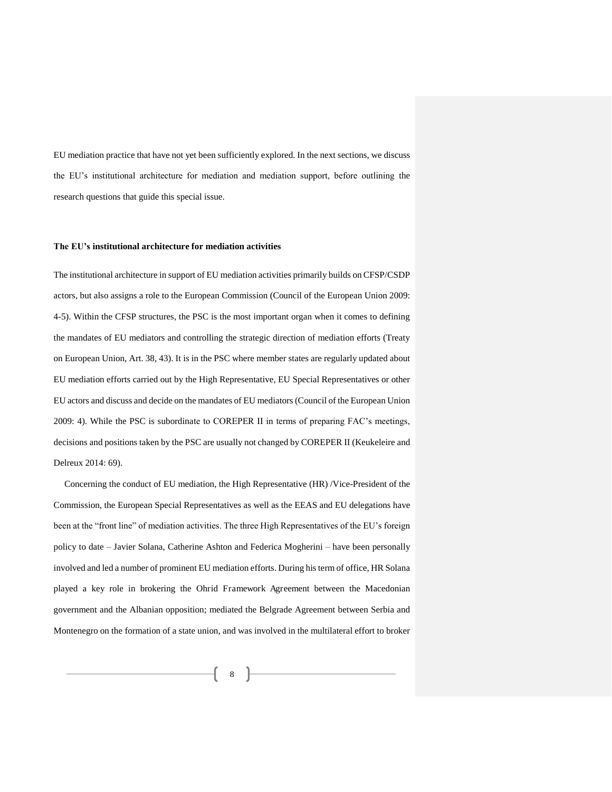EU mediation practice that have not yet been sufficiently explored. In the next sections, we discuss the EU's institutional architecture for mediation and mediation support, before outlining the research questions that guide this special issue.

#### **The EU's institutional architecture for mediation activities**

The institutional architecture in support of EU mediation activities primarily builds on CFSP/CSDP actors, but also assigns a role to the European Commission (Council of the European Union 2009: 4-5). Within the CFSP structures, the PSC is the most important organ when it comes to defining the mandates of EU mediators and controlling the strategic direction of mediation efforts (Treaty on European Union, Art. 38, 43). It is in the PSC where member states are regularly updated about EU mediation efforts carried out by the High Representative, EU Special Representatives or other EU actors and discuss and decide on the mandates of EU mediators (Council of the European Union 2009: 4). While the PSC is subordinate to COREPER II in terms of preparing FAC's meetings, decisions and positions taken by the PSC are usually not changed by COREPER II (Keukeleire and Delreux 2014: 69).

Concerning the conduct of EU mediation, the High Representative (HR) /Vice-President of the Commission, the European Special Representatives as well as the EEAS and EU delegations have been at the "front line" of mediation activities. The three High Representatives of the EU's foreign policy to date – Javier Solana, Catherine Ashton and Federica Mogherini – have been personally involved and led a number of prominent EU mediation efforts. During his term of office, HR Solana played a key role in brokering the Ohrid Framework Agreement between the Macedonian government and the Albanian opposition; mediated the Belgrade Agreement between Serbia and Montenegro on the formation of a state union, and was involved in the multilateral effort to broker

8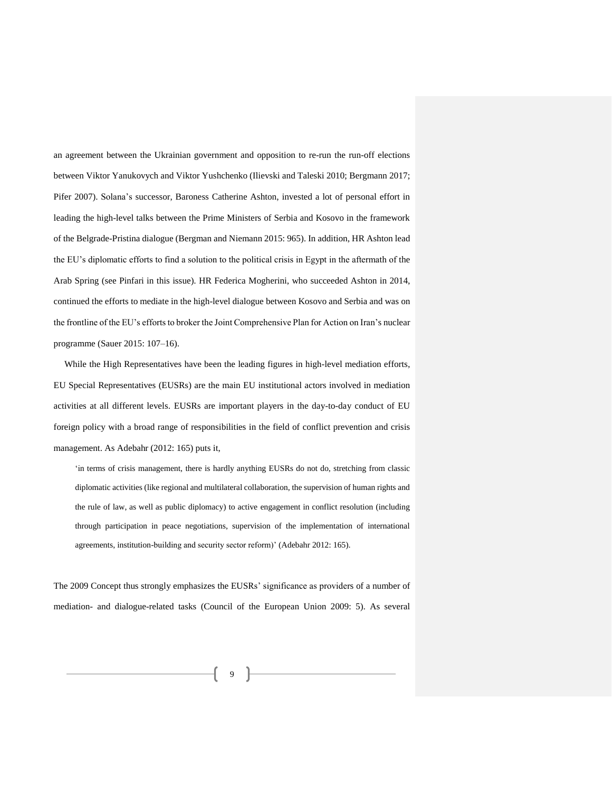an agreement between the Ukrainian government and opposition to re-run the run-off elections between Viktor Yanukovych and Viktor Yushchenko (Ilievski and Taleski 2010; Bergmann 2017; Pifer 2007). Solana's successor, Baroness Catherine Ashton, invested a lot of personal effort in leading the high-level talks between the Prime Ministers of Serbia and Kosovo in the framework of the Belgrade-Pristina dialogue (Bergman and Niemann 2015: 965). In addition, HR Ashton lead the EU's diplomatic efforts to find a solution to the political crisis in Egypt in the aftermath of the Arab Spring (see Pinfari in this issue). HR Federica Mogherini, who succeeded Ashton in 2014, continued the efforts to mediate in the high-level dialogue between Kosovo and Serbia and was on the frontline of the EU's efforts to broker the Joint Comprehensive Plan for Action on Iran's nuclear programme (Sauer 2015: 107–16).

While the High Representatives have been the leading figures in high-level mediation efforts, EU Special Representatives (EUSRs) are the main EU institutional actors involved in mediation activities at all different levels. EUSRs are important players in the day-to-day conduct of EU foreign policy with a broad range of responsibilities in the field of conflict prevention and crisis management. As Adebahr (2012: 165) puts it,

'in terms of crisis management, there is hardly anything EUSRs do not do, stretching from classic diplomatic activities (like regional and multilateral collaboration, the supervision of human rights and the rule of law, as well as public diplomacy) to active engagement in conflict resolution (including through participation in peace negotiations, supervision of the implementation of international agreements, institution-building and security sector reform)' (Adebahr 2012: 165).

The 2009 Concept thus strongly emphasizes the EUSRs' significance as providers of a number of mediation- and dialogue-related tasks (Council of the European Union 2009: 5). As several

9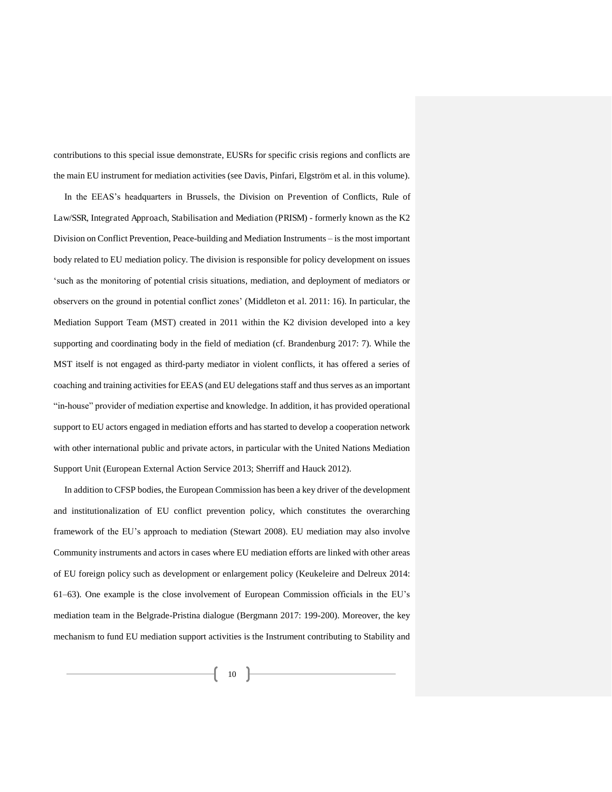contributions to this special issue demonstrate, EUSRs for specific crisis regions and conflicts are the main EU instrument for mediation activities (see Davis, Pinfari, Elgström et al. in this volume).

In the EEAS's headquarters in Brussels, the Division on Prevention of Conflicts, Rule of Law/SSR, Integrated Approach, Stabilisation and Mediation (PRISM) - formerly known as the K2 Division on Conflict Prevention, Peace-building and Mediation Instruments – is the most important body related to EU mediation policy. The division is responsible for policy development on issues 'such as the monitoring of potential crisis situations, mediation, and deployment of mediators or observers on the ground in potential conflict zones' (Middleton et al. 2011: 16). In particular, the Mediation Support Team (MST) created in 2011 within the K2 division developed into a key supporting and coordinating body in the field of mediation (cf. Brandenburg 2017: 7). While the MST itself is not engaged as third-party mediator in violent conflicts, it has offered a series of coaching and training activities for EEAS (and EU delegations staff and thus serves as an important "in-house" provider of mediation expertise and knowledge. In addition, it has provided operational support to EU actors engaged in mediation efforts and has started to develop a cooperation network with other international public and private actors, in particular with the United Nations Mediation Support Unit (European External Action Service 2013; Sherriff and Hauck 2012).

In addition to CFSP bodies, the European Commission has been a key driver of the development and institutionalization of EU conflict prevention policy, which constitutes the overarching framework of the EU's approach to mediation (Stewart 2008). EU mediation may also involve Community instruments and actors in cases where EU mediation efforts are linked with other areas of EU foreign policy such as development or enlargement policy (Keukeleire and Delreux 2014: 61–63). One example is the close involvement of European Commission officials in the EU's mediation team in the Belgrade-Pristina dialogue (Bergmann 2017: 199-200). Moreover, the key mechanism to fund EU mediation support activities is the Instrument contributing to Stability and

 $\begin{array}{c|c} \hline \end{array}$  10  $\begin{array}{c} \hline \end{array}$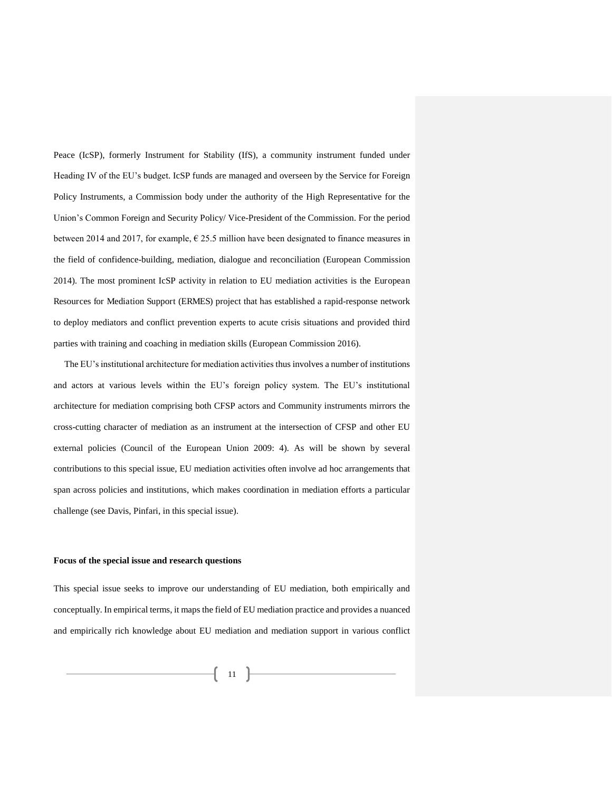Peace (IcSP), formerly Instrument for Stability (IfS), a community instrument funded under Heading IV of the EU's budget. IcSP funds are managed and overseen by the Service for Foreign Policy Instruments, a Commission body under the authority of the High Representative for the Union's Common Foreign and Security Policy/ Vice-President of the Commission. For the period between 2014 and 2017, for example,  $\epsilon$  25.5 million have been designated to finance measures in the field of confidence-building, mediation, dialogue and reconciliation (European Commission 2014). The most prominent IcSP activity in relation to EU mediation activities is the European Resources for Mediation Support (ERMES) project that has established a rapid-response network to deploy mediators and conflict prevention experts to acute crisis situations and provided third parties with training and coaching in mediation skills (European Commission 2016).

The EU's institutional architecture for mediation activities thus involves a number of institutions and actors at various levels within the EU's foreign policy system. The EU's institutional architecture for mediation comprising both CFSP actors and Community instruments mirrors the cross-cutting character of mediation as an instrument at the intersection of CFSP and other EU external policies (Council of the European Union 2009: 4). As will be shown by several contributions to this special issue, EU mediation activities often involve ad hoc arrangements that span across policies and institutions, which makes coordination in mediation efforts a particular challenge (see Davis, Pinfari, in this special issue).

#### **Focus of the special issue and research questions**

This special issue seeks to improve our understanding of EU mediation, both empirically and conceptually. In empirical terms, it maps the field of EU mediation practice and provides a nuanced and empirically rich knowledge about EU mediation and mediation support in various conflict

 $11$   $\uparrow$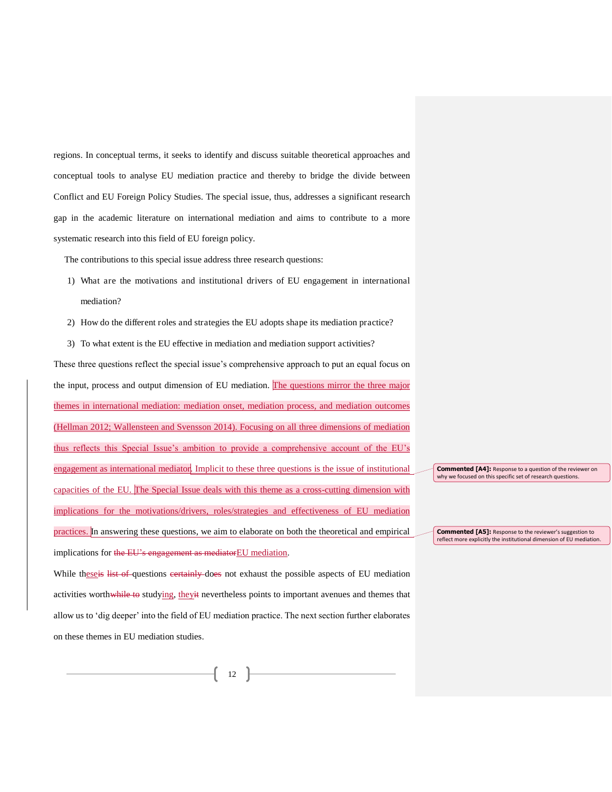regions. In conceptual terms, it seeks to identify and discuss suitable theoretical approaches and conceptual tools to analyse EU mediation practice and thereby to bridge the divide between Conflict and EU Foreign Policy Studies. The special issue, thus, addresses a significant research gap in the academic literature on international mediation and aims to contribute to a more systematic research into this field of EU foreign policy.

The contributions to this special issue address three research questions:

- 1) What are the motivations and institutional drivers of EU engagement in international mediation?
- 2) How do the different roles and strategies the EU adopts shape its mediation practice?
- 3) To what extent is the EU effective in mediation and mediation support activities?

These three questions reflect the special issue's comprehensive approach to put an equal focus on the input, process and output dimension of EU mediation. The questions mirror the three major themes in international mediation: mediation onset, mediation process, and mediation outcomes (Hellman 2012; Wallensteen and Svensson 2014). Focusing on all three dimensions of mediation thus reflects this Special Issue's ambition to provide a comprehensive account of the EU's engagement as international mediator. Implicit to these three questions is the issue of institutional capacities of the EU. The Special Issue deals with this theme as a cross-cutting dimension with implications for the motivations/drivers, roles/strategies and effectiveness of EU mediation practices. In answering these questions, we aim to elaborate on both the theoretical and empirical implications for the EU's engagement as mediatorEU mediation.

While theseis list of questions certainly does not exhaust the possible aspects of EU mediation activities worthwhile to studying, theyit nevertheless points to important avenues and themes that allow us to 'dig deeper' into the field of EU mediation practice. The next section further elaborates on these themes in EU mediation studies.

**Commented [A4]:** Response to a question of the reviewer on why we focused on this specific set of research questions.

**Commented [A5]:** Response to the reviewer's suggestion to<br>reflect more explicitly the institutional dimension of EU mediation.

12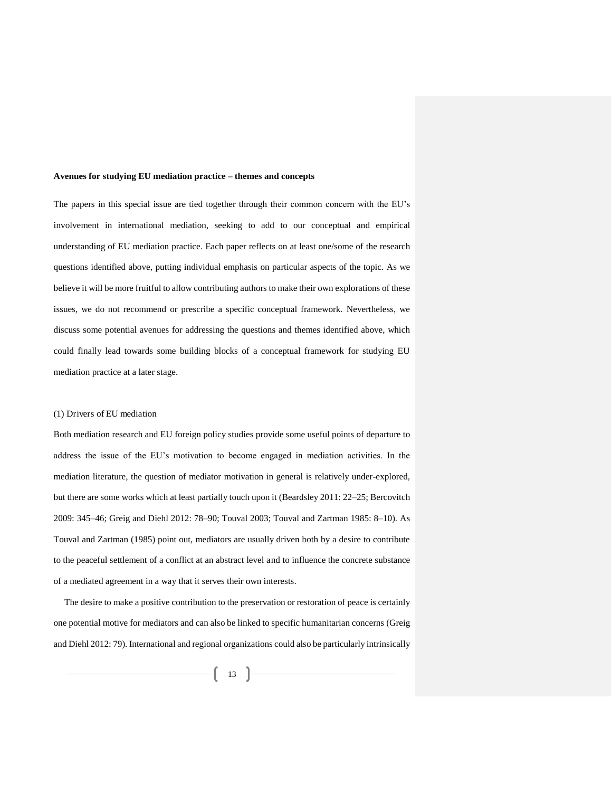#### **Avenues for studying EU mediation practice – themes and concepts**

The papers in this special issue are tied together through their common concern with the EU's involvement in international mediation, seeking to add to our conceptual and empirical understanding of EU mediation practice. Each paper reflects on at least one/some of the research questions identified above, putting individual emphasis on particular aspects of the topic. As we believe it will be more fruitful to allow contributing authors to make their own explorations of these issues, we do not recommend or prescribe a specific conceptual framework. Nevertheless, we discuss some potential avenues for addressing the questions and themes identified above, which could finally lead towards some building blocks of a conceptual framework for studying EU mediation practice at a later stage.

#### (1) Drivers of EU mediation

Both mediation research and EU foreign policy studies provide some useful points of departure to address the issue of the EU's motivation to become engaged in mediation activities. In the mediation literature, the question of mediator motivation in general is relatively under-explored, but there are some works which at least partially touch upon it (Beardsley 2011: 22–25; Bercovitch 2009: 345–46; Greig and Diehl 2012: 78–90; Touval 2003; Touval and Zartman 1985: 8–10). As Touval and Zartman (1985) point out, mediators are usually driven both by a desire to contribute to the peaceful settlement of a conflict at an abstract level and to influence the concrete substance of a mediated agreement in a way that it serves their own interests.

The desire to make a positive contribution to the preservation or restoration of peace is certainly one potential motive for mediators and can also be linked to specific humanitarian concerns (Greig and Diehl 2012: 79). International and regional organizations could also be particularly intrinsically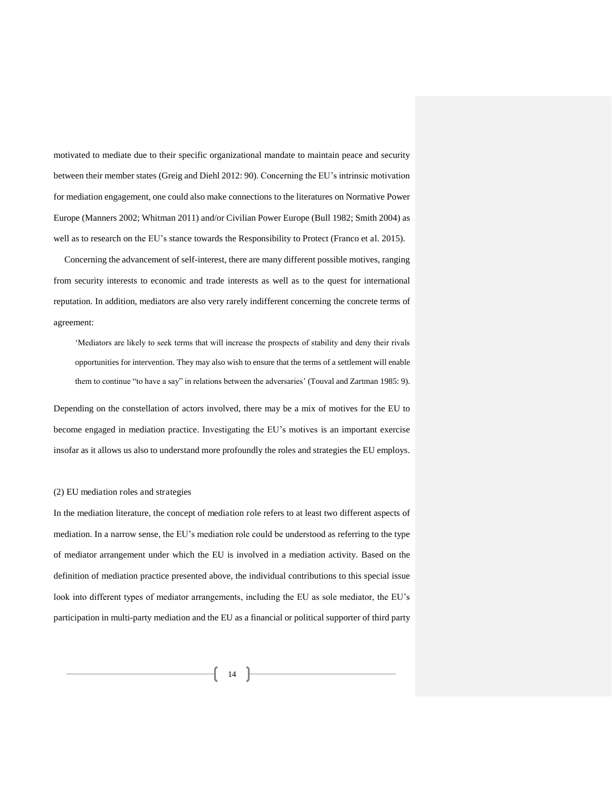motivated to mediate due to their specific organizational mandate to maintain peace and security between their member states (Greig and Diehl 2012: 90). Concerning the EU's intrinsic motivation for mediation engagement, one could also make connections to the literatures on Normative Power Europe (Manners 2002; Whitman 2011) and/or Civilian Power Europe (Bull 1982; Smith 2004) as well as to research on the EU's stance towards the Responsibility to Protect (Franco et al. 2015).

Concerning the advancement of self-interest, there are many different possible motives, ranging from security interests to economic and trade interests as well as to the quest for international reputation. In addition, mediators are also very rarely indifferent concerning the concrete terms of agreement:

'Mediators are likely to seek terms that will increase the prospects of stability and deny their rivals opportunities for intervention. They may also wish to ensure that the terms of a settlement will enable them to continue "to have a say" in relations between the adversaries' (Touval and Zartman 1985: 9).

Depending on the constellation of actors involved, there may be a mix of motives for the EU to become engaged in mediation practice. Investigating the EU's motives is an important exercise insofar as it allows us also to understand more profoundly the roles and strategies the EU employs.

#### (2) EU mediation roles and strategies

In the mediation literature, the concept of mediation role refers to at least two different aspects of mediation. In a narrow sense, the EU's mediation role could be understood as referring to the type of mediator arrangement under which the EU is involved in a mediation activity. Based on the definition of mediation practice presented above, the individual contributions to this special issue look into different types of mediator arrangements, including the EU as sole mediator, the EU's participation in multi-party mediation and the EU as a financial or political supporter of third party

 $\begin{pmatrix} 14 \end{pmatrix}$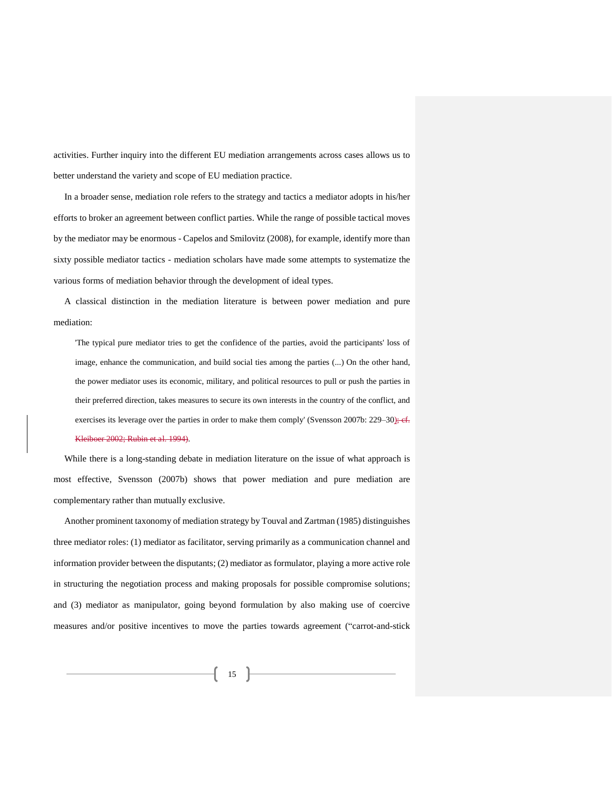activities. Further inquiry into the different EU mediation arrangements across cases allows us to better understand the variety and scope of EU mediation practice.

In a broader sense, mediation role refers to the strategy and tactics a mediator adopts in his/her efforts to broker an agreement between conflict parties. While the range of possible tactical moves by the mediator may be enormous - Capelos and Smilovitz (2008), for example, identify more than sixty possible mediator tactics - mediation scholars have made some attempts to systematize the various forms of mediation behavior through the development of ideal types.

A classical distinction in the mediation literature is between power mediation and pure mediation:

'The typical pure mediator tries to get the confidence of the parties, avoid the participants' loss of image, enhance the communication, and build social ties among the parties (...) On the other hand, the power mediator uses its economic, military, and political resources to pull or push the parties in their preferred direction, takes measures to secure its own interests in the country of the conflict, and exercises its leverage over the parties in order to make them comply' (Svensson 2007b: 229–30); ef. Kleiboer 2002; Rubin et al. 1994).

While there is a long-standing debate in mediation literature on the issue of what approach is most effective, Svensson (2007b) shows that power mediation and pure mediation are complementary rather than mutually exclusive.

Another prominent taxonomy of mediation strategy by Touval and Zartman (1985) distinguishes three mediator roles: (1) mediator as facilitator, serving primarily as a communication channel and information provider between the disputants; (2) mediator as formulator, playing a more active role in structuring the negotiation process and making proposals for possible compromise solutions; and (3) mediator as manipulator, going beyond formulation by also making use of coercive measures and/or positive incentives to move the parties towards agreement ("carrot-and-stick

 $\begin{bmatrix} 15 \end{bmatrix}$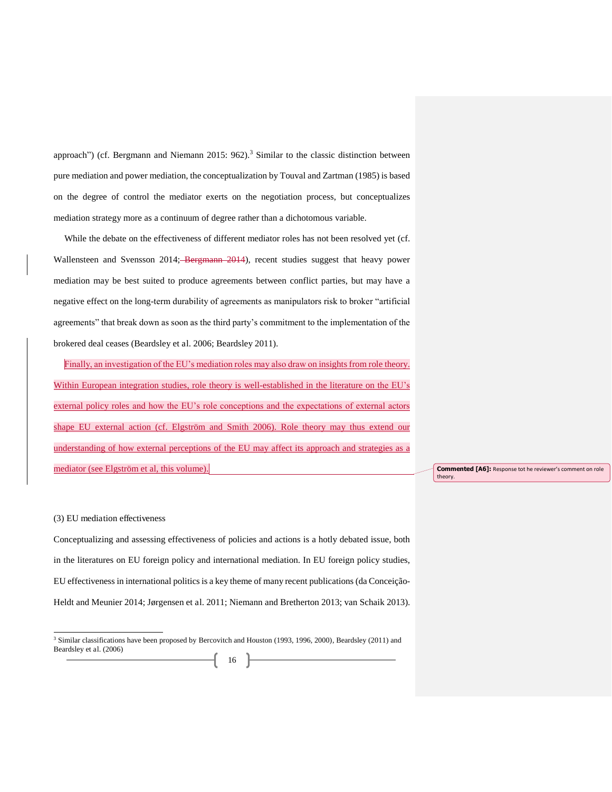approach") (cf. Bergmann and Niemann 2015: 962).<sup>3</sup> Similar to the classic distinction between pure mediation and power mediation, the conceptualization by Touval and Zartman (1985) is based on the degree of control the mediator exerts on the negotiation process, but conceptualizes mediation strategy more as a continuum of degree rather than a dichotomous variable.

While the debate on the effectiveness of different mediator roles has not been resolved yet (cf. Wallensteen and Svensson 2014; Bergmann 2014), recent studies suggest that heavy power mediation may be best suited to produce agreements between conflict parties, but may have a negative effect on the long-term durability of agreements as manipulators risk to broker "artificial agreements" that break down as soon as the third party's commitment to the implementation of the brokered deal ceases (Beardsley et al. 2006; Beardsley 2011).

Finally, an investigation of the EU's mediation roles may also draw on insights from role theory. Within European integration studies, role theory is well-established in the literature on the EU's external policy roles and how the EU's role conceptions and the expectations of external actors shape EU external action (cf. Elgström and Smith 2006). Role theory may thus extend our understanding of how external perceptions of the EU may affect its approach and strategies as a mediator (see Elgström et al, this volume).

**Commented [A6]:** Response tot he reviewer's comment on role theory.

#### (3) EU mediation effectiveness

j

Conceptualizing and assessing effectiveness of policies and actions is a hotly debated issue, both in the literatures on EU foreign policy and international mediation. In EU foreign policy studies, EU effectiveness in international politics is a key theme of many recent publications (da Conceição-Heldt and Meunier 2014; Jørgensen et al. 2011; Niemann and Bretherton 2013; van Schaik 2013).

<sup>&</sup>lt;sup>3</sup> Similar classifications have been proposed by Bercovitch and Houston (1993, 1996, 2000), Beardsley (2011) and Beardsley et al. (2006)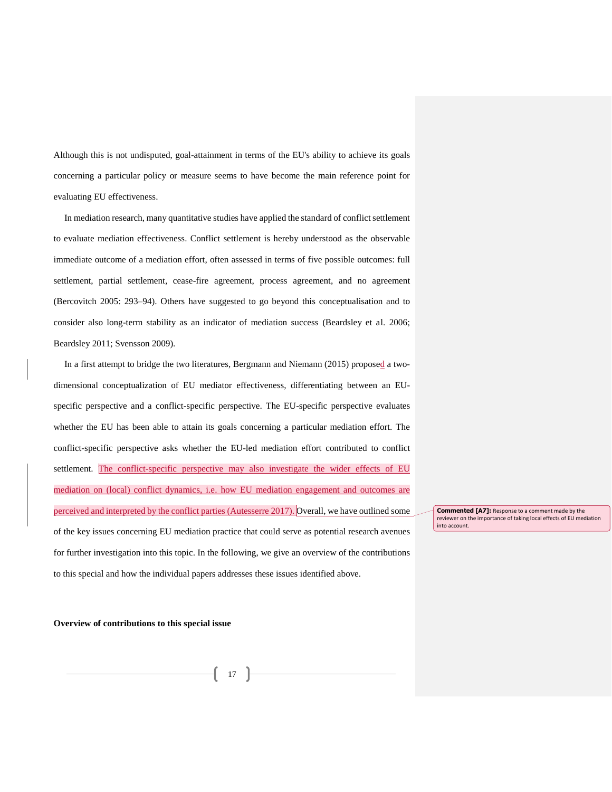Although this is not undisputed, goal-attainment in terms of the EU's ability to achieve its goals concerning a particular policy or measure seems to have become the main reference point for evaluating EU effectiveness.

In mediation research, many quantitative studies have applied the standard of conflict settlement to evaluate mediation effectiveness. Conflict settlement is hereby understood as the observable immediate outcome of a mediation effort, often assessed in terms of five possible outcomes: full settlement, partial settlement, cease-fire agreement, process agreement, and no agreement (Bercovitch 2005: 293–94). Others have suggested to go beyond this conceptualisation and to consider also long-term stability as an indicator of mediation success (Beardsley et al. 2006; Beardsley 2011; Svensson 2009).

In a first attempt to bridge the two literatures, Bergmann and Niemann (2015) proposed a twodimensional conceptualization of EU mediator effectiveness, differentiating between an EUspecific perspective and a conflict-specific perspective. The EU-specific perspective evaluates whether the EU has been able to attain its goals concerning a particular mediation effort. The conflict-specific perspective asks whether the EU-led mediation effort contributed to conflict settlement. The conflict-specific perspective may also investigate the wider effects of EU mediation on (local) conflict dynamics, i.e. how EU mediation engagement and outcomes are perceived and interpreted by the conflict parties (Autesserre 2017). Overall, we have outlined some of the key issues concerning EU mediation practice that could serve as potential research avenues for further investigation into this topic. In the following, we give an overview of the contributions to this special and how the individual papers addresses these issues identified above.

**Commented [A7]:** Response to a comment made by the reviewer on the importance of taking local effects of EU mediation into account.

#### **Overview of contributions to this special issue**

17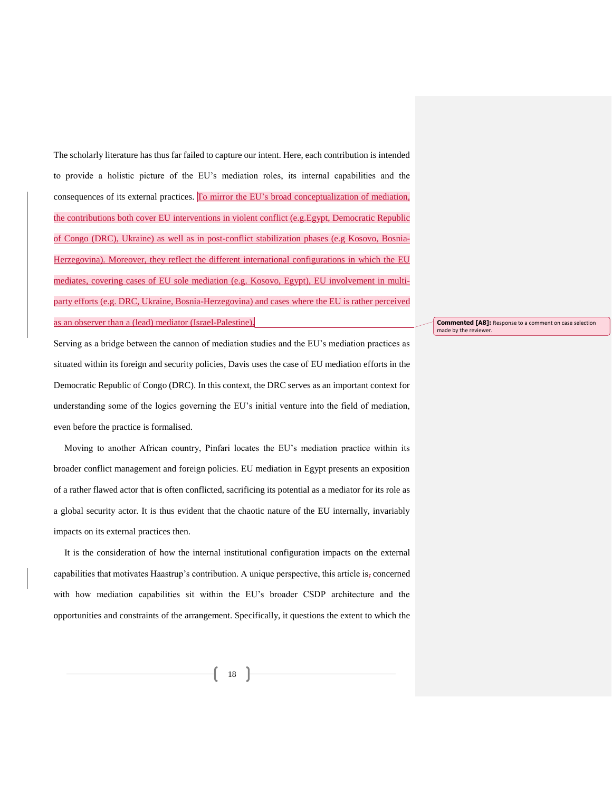The scholarly literature has thus far failed to capture our intent. Here, each contribution is intended to provide a holistic picture of the EU's mediation roles, its internal capabilities and the consequences of its external practices. To mirror the EU's broad conceptualization of mediation, the contributions both cover EU interventions in violent conflict (e.g.Egypt, Democratic Republic of Congo (DRC), Ukraine) as well as in post-conflict stabilization phases (e.g Kosovo, Bosnia-Herzegovina). Moreover, they reflect the different international configurations in which the EU mediates, covering cases of EU sole mediation (e.g. Kosovo, Egypt), EU involvement in multiparty efforts (e.g. DRC, Ukraine, Bosnia-Herzegovina) and cases where the EU is rather perceived as an observer than a (lead) mediator (Israel-Palestine).

Serving as a bridge between the cannon of mediation studies and the EU's mediation practices as situated within its foreign and security policies, Davis uses the case of EU mediation efforts in the Democratic Republic of Congo (DRC). In this context, the DRC serves as an important context for understanding some of the logics governing the EU's initial venture into the field of mediation, even before the practice is formalised.

Moving to another African country, Pinfari locates the EU's mediation practice within its broader conflict management and foreign policies. EU mediation in Egypt presents an exposition of a rather flawed actor that is often conflicted, sacrificing its potential as a mediator for its role as a global security actor. It is thus evident that the chaotic nature of the EU internally, invariably impacts on its external practices then.

It is the consideration of how the internal institutional configuration impacts on the external capabilities that motivates Haastrup's contribution. A unique perspective, this article is, concerned with how mediation capabilities sit within the EU's broader CSDP architecture and the opportunities and constraints of the arrangement. Specifically, it questions the extent to which the **Commented [A8]:** Response to a comment on case selection made by the reviewer.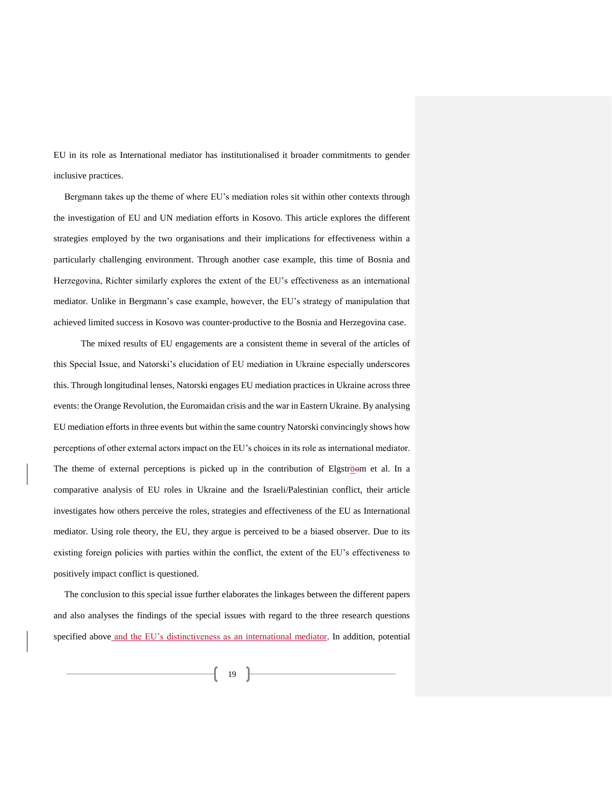EU in its role as International mediator has institutionalised it broader commitments to gender inclusive practices.

Bergmann takes up the theme of where EU's mediation roles sit within other contexts through the investigation of EU and UN mediation efforts in Kosovo. This article explores the different strategies employed by the two organisations and their implications for effectiveness within a particularly challenging environment. Through another case example, this time of Bosnia and Herzegovina, Richter similarly explores the extent of the EU's effectiveness as an international mediator. Unlike in Bergmann's case example, however, the EU's strategy of manipulation that achieved limited success in Kosovo was counter-productive to the Bosnia and Herzegovina case.

The mixed results of EU engagements are a consistent theme in several of the articles of this Special Issue, and Natorski's elucidation of EU mediation in Ukraine especially underscores this. Through longitudinal lenses, Natorski engages EU mediation practices in Ukraine across three events: the Orange Revolution, the Euromaidan crisis and the war in Eastern Ukraine. By analysing EU mediation efforts in three events but within the same country Natorski convincingly shows how perceptions of other external actors impact on the EU's choices in its role as international mediator. The theme of external perceptions is picked up in the contribution of Elgströom et al. In a comparative analysis of EU roles in Ukraine and the Israeli/Palestinian conflict, their article investigates how others perceive the roles, strategies and effectiveness of the EU as International mediator. Using role theory, the EU, they argue is perceived to be a biased observer. Due to its existing foreign policies with parties within the conflict, the extent of the EU's effectiveness to positively impact conflict is questioned.

The conclusion to this special issue further elaborates the linkages between the different papers and also analyses the findings of the special issues with regard to the three research questions specified above and the EU's distinctiveness as an international mediator. In addition, potential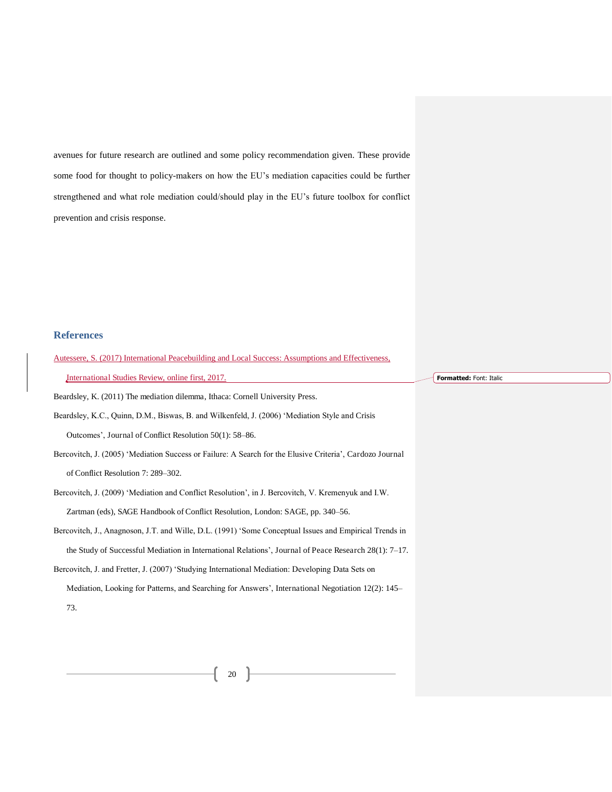avenues for future research are outlined and some policy recommendation given. These provide some food for thought to policy-makers on how the EU's mediation capacities could be further strengthened and what role mediation could/should play in the EU's future toolbox for conflict prevention and crisis response.

#### **References**

| Autessere, S. (2017) international Peacebullding and Local Success: Assumptions and Effectiveness,          |
|-------------------------------------------------------------------------------------------------------------|
| International Studies Review, online first, 2017.                                                           |
| Beardsley, K. (2011) The mediation dilemma, Ithaca: Cornell University Press.                               |
| Beardsley, K.C., Quinn, D.M., Biswas, B. and Wilkenfeld, J. (2006) 'Mediation Style and Crisis              |
| Outcomes', Journal of Conflict Resolution 50(1): 58–86.                                                     |
| Bercovitch, J. (2005) 'Mediation Success or Failure: A Search for the Elusive Criteria', Cardozo Journal    |
| of Conflict Resolution 7: 289–302.                                                                          |
| Bercovitch, J. (2009) 'Mediation and Conflict Resolution', in J. Bercovitch, V. Kremenyuk and I.W.          |
| Zartman (eds), SAGE Handbook of Conflict Resolution, London: SAGE, pp. 340–56.                              |
| Bercovitch, J., Anagnoson, J.T. and Wille, D.L. (1991) 'Some Conceptual Issues and Empirical Trends in      |
| the Study of Successful Mediation in International Relations', Journal of Peace Research $28(1)$ : $7-17$ . |
| Bercovitch, J. and Fretter, J. (2007) 'Studying International Mediation: Developing Data Sets on            |

Autessere, S. (2017) International Peacebuilding and Local Success: Assumptions and Effectiveness,

Mediation, Looking for Patterns, and Searching for Answers', International Negotiation 12(2): 145– 73.

 $\begin{pmatrix} 20 \end{pmatrix}$ 

**Formatted:** Font: Italic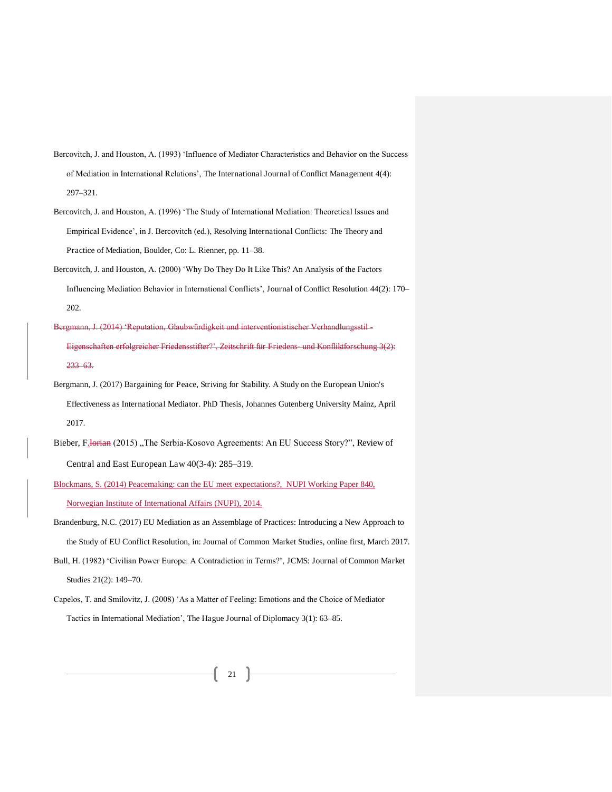- Bercovitch, J. and Houston, A. (1993) 'Influence of Mediator Characteristics and Behavior on the Success of Mediation in International Relations', The International Journal of Conflict Management 4(4): 297–321.
- Bercovitch, J. and Houston, A. (1996) 'The Study of International Mediation: Theoretical Issues and Empirical Evidence', in J. Bercovitch (ed.), Resolving International Conflicts: The Theory and Practice of Mediation, Boulder, Co: L. Rienner, pp. 11–38.
- Bercovitch, J. and Houston, A. (2000) 'Why Do They Do It Like This? An Analysis of the Factors Influencing Mediation Behavior in International Conflicts', Journal of Conflict Resolution 44(2): 170– 202.
- Bergmann, J. (2014) 'Reputation, Glaubwürdigkeit und interventionistischer Verhandlungsstil-Eigenschaften erfolgreicher Friedensstifter?', Zeitschrift für Friedens- und Konfliktforschung 3(2): 233–63.
- Bergmann, J. (2017) Bargaining for Peace, Striving for Stability. A Study on the European Union's Effectiveness as International Mediator. PhD Thesis, Johannes Gutenberg University Mainz, April 2017.
- Bieber, F. lorian (2015) "The Serbia-Kosovo Agreements: An EU Success Story?", Review of Central and East European Law 40(3-4): 285–319.
- Blockmans, S. (2014) Peacemaking: can the EU meet expectations?, NUPI Working Paper 840, Norwegian Institute of International Affairs (NUPI), 2014.
- Brandenburg, N.C. (2017) EU Mediation as an Assemblage of Practices: Introducing a New Approach to the Study of EU Conflict Resolution, in: Journal of Common Market Studies, online first, March 2017.
- Bull, H. (1982) 'Civilian Power Europe: A Contradiction in Terms?', JCMS: Journal of Common Market Studies 21(2): 149–70.
- Capelos, T. and Smilovitz, J. (2008) 'As a Matter of Feeling: Emotions and the Choice of Mediator Tactics in International Mediation', The Hague Journal of Diplomacy 3(1): 63–85.

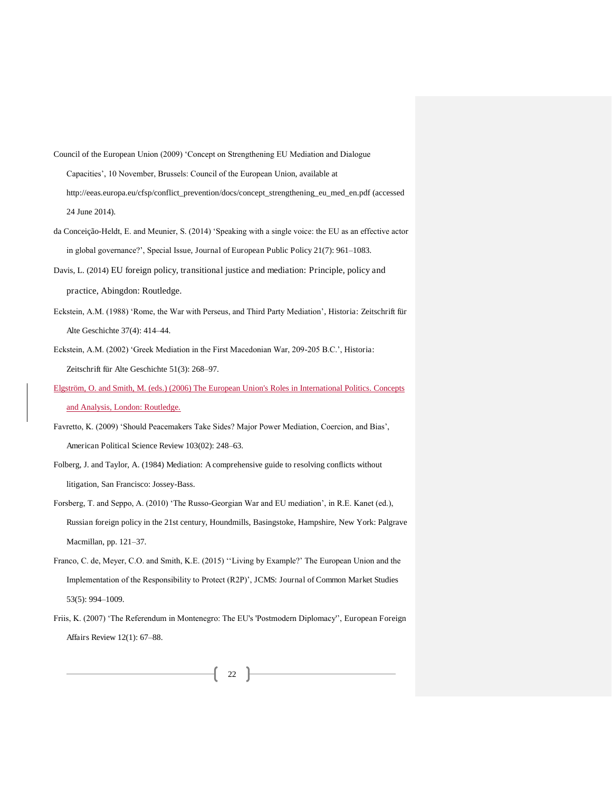- Council of the European Union (2009) 'Concept on Strengthening EU Mediation and Dialogue Capacities', 10 November, Brussels: Council of the European Union, available at http://eeas.europa.eu/cfsp/conflict\_prevention/docs/concept\_strengthening\_eu\_med\_en.pdf (accessed 24 June 2014).
- da Conceição-Heldt, E. and Meunier, S. (2014) 'Speaking with a single voice: the EU as an effective actor in global governance?', Special Issue, Journal of European Public Policy 21(7): 961–1083.
- Davis, L. (2014) EU foreign policy, transitional justice and mediation: Principle, policy and practice, Abingdon: Routledge.
- Eckstein, A.M. (1988) 'Rome, the War with Perseus, and Third Party Mediation', Historia: Zeitschrift für Alte Geschichte 37(4): 414–44.
- Eckstein, A.M. (2002) 'Greek Mediation in the First Macedonian War, 209-205 B.C.', Historia: Zeitschrift für Alte Geschichte 51(3): 268–97.
- Elgström, O. and Smith, M. (eds.) (2006) The European Union's Roles in International Politics. Concepts and Analysis, London: Routledge.
- Favretto, K. (2009) 'Should Peacemakers Take Sides? Major Power Mediation, Coercion, and Bias', American Political Science Review 103(02): 248–63.
- Folberg, J. and Taylor, A. (1984) Mediation: A comprehensive guide to resolving conflicts without litigation, San Francisco: Jossey-Bass.
- Forsberg, T. and Seppo, A. (2010) 'The Russo-Georgian War and EU mediation', in R.E. Kanet (ed.), Russian foreign policy in the 21st century, Houndmills, Basingstoke, Hampshire, New York: Palgrave Macmillan, pp. 121–37.
- Franco, C. de, Meyer, C.O. and Smith, K.E. (2015) ''Living by Example?' The European Union and the Implementation of the Responsibility to Protect (R2P)', JCMS: Journal of Common Market Studies 53(5): 994–1009.
- Friis, K. (2007) 'The Referendum in Montenegro: The EU's 'Postmodern Diplomacy'', European Foreign Affairs Review 12(1): 67–88.

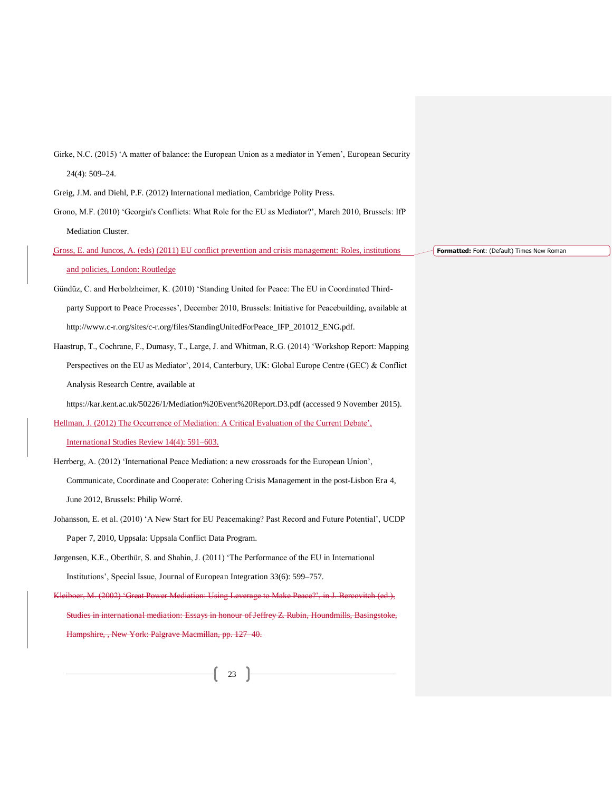| Girke, N.C. (2015) 'A matter of balance: the European Union as a mediator in Yemen', European Security  |                                            |
|---------------------------------------------------------------------------------------------------------|--------------------------------------------|
| $24(4): 509 - 24.$                                                                                      |                                            |
| Greig, J.M. and Diehl, P.F. (2012) International mediation, Cambridge Polity Press.                     |                                            |
| Grono, M.F. (2010) 'Georgia's Conflicts: What Role for the EU as Mediator?', March 2010, Brussels: IfP  |                                            |
| Mediation Cluster.                                                                                      |                                            |
| Gross, E. and Juncos, A. (eds) (2011) EU conflict prevention and crisis management: Roles, institutions | Formatted: Font: (Default) Times New Roman |
| and policies, London: Routledge                                                                         |                                            |
| Gündüz, C. and Herbolzheimer, K. (2010) 'Standing United for Peace: The EU in Coordinated Third-        |                                            |
| party Support to Peace Processes', December 2010, Brussels: Initiative for Peacebuilding, available at  |                                            |
| http://www.c-r.org/sites/c-r.org/files/StandingUnitedForPeace_IFP_201012_ENG.pdf.                       |                                            |
| Haastrup, T., Cochrane, F., Dumasy, T., Large, J. and Whitman, R.G. (2014) 'Workshop Report: Mapping    |                                            |
| Perspectives on the EU as Mediator', 2014, Canterbury, UK: Global Europe Centre (GEC) & Conflict        |                                            |
| Analysis Research Centre, available at                                                                  |                                            |
| https://kar.kent.ac.uk/50226/1/Mediation%20Event%20Report.D3.pdf (accessed 9 November 2015).            |                                            |
| Hellman, J. (2012) The Occurrence of Mediation: A Critical Evaluation of the Current Debate',           |                                            |
| International Studies Review 14(4): 591–603.                                                            |                                            |
| Herrberg, A. (2012) 'International Peace Mediation: a new crossroads for the European Union',           |                                            |
| Communicate, Coordinate and Cooperate: Cohering Crisis Management in the post-Lisbon Era 4,             |                                            |
| June 2012, Brussels: Philip Worré.                                                                      |                                            |
| Johansson, E. et al. (2010) 'A New Start for EU Peacemaking? Past Record and Future Potential', UCDP    |                                            |
| Paper 7, 2010, Uppsala: Uppsala Conflict Data Program.                                                  |                                            |
| Jørgensen, K.E., Oberthür, S. and Shahin, J. (2011) 'The Performance of the EU in International         |                                            |
| Institutions', Special Issue, Journal of European Integration 33(6): 599-757.                           |                                            |
| Kleiboer, M. (2002) 'Great Power Mediation: Using Leverage to Make Peace?', in J. Bercovitch (ed.),     |                                            |
| Studies in international mediation: Essays in honour of Jeffrey Z. Rubin, Houndmills, Basingstoke,      |                                            |
| Hampshire, , New York: Palgrave Macmillan, pp. 127-40.                                                  |                                            |
|                                                                                                         |                                            |
| 23                                                                                                      |                                            |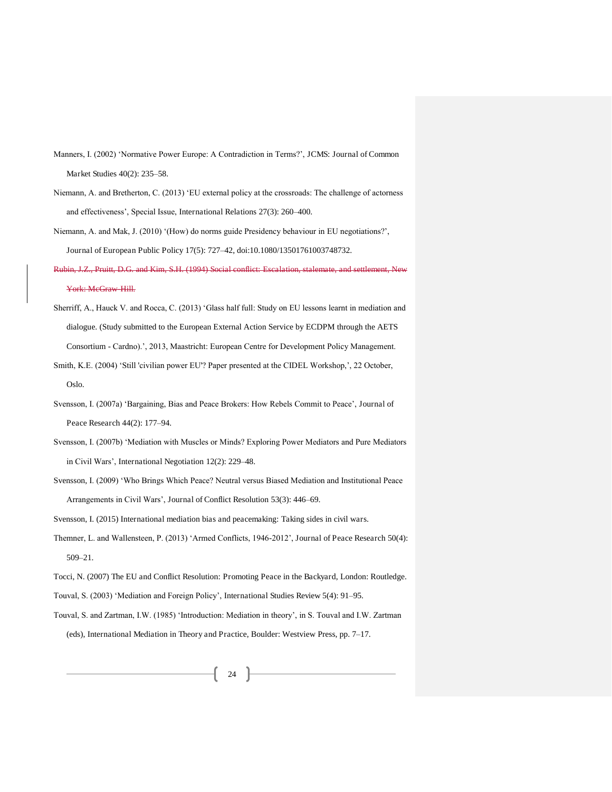- Manners, I. (2002) 'Normative Power Europe: A Contradiction in Terms?', JCMS: Journal of Common Market Studies 40(2): 235–58.
- Niemann, A. and Bretherton, C. (2013) 'EU external policy at the crossroads: The challenge of actorness and effectiveness', Special Issue, International Relations 27(3): 260–400.
- Niemann, A. and Mak, J. (2010) '(How) do norms guide Presidency behaviour in EU negotiations?', Journal of European Public Policy 17(5): 727–42, doi:10.1080/13501761003748732.
- Rubin, J.Z., Pruitt, D.G. and Kim, S.H. (1994) Social conflict: Escalation, stalemate, and settlement, New York: McGraw-Hill.
- Sherriff, A., Hauck V. and Rocca, C. (2013) 'Glass half full: Study on EU lessons learnt in mediation and dialogue. (Study submitted to the European External Action Service by ECDPM through the AETS Consortium - Cardno).', 2013, Maastricht: European Centre for Development Policy Management.
- Smith, K.E. (2004) 'Still 'civilian power EU'? Paper presented at the CIDEL Workshop,', 22 October, Oslo.
- Svensson, I. (2007a) 'Bargaining, Bias and Peace Brokers: How Rebels Commit to Peace', Journal of Peace Research 44(2): 177–94.
- Svensson, I. (2007b) 'Mediation with Muscles or Minds? Exploring Power Mediators and Pure Mediators in Civil Wars', International Negotiation 12(2): 229–48.
- Svensson, I. (2009) 'Who Brings Which Peace? Neutral versus Biased Mediation and Institutional Peace Arrangements in Civil Wars', Journal of Conflict Resolution 53(3): 446–69.
- Svensson, I. (2015) International mediation bias and peacemaking: Taking sides in civil wars.
- Themner, L. and Wallensteen, P. (2013) 'Armed Conflicts, 1946-2012', Journal of Peace Research 50(4): 509–21.
- Tocci, N. (2007) The EU and Conflict Resolution: Promoting Peace in the Backyard, London: Routledge.
- Touval, S. (2003) 'Mediation and Foreign Policy', International Studies Review 5(4): 91–95.
- Touval, S. and Zartman, I.W. (1985) 'Introduction: Mediation in theory', in S. Touval and I.W. Zartman (eds), International Mediation in Theory and Practice, Boulder: Westview Press, pp. 7–17.